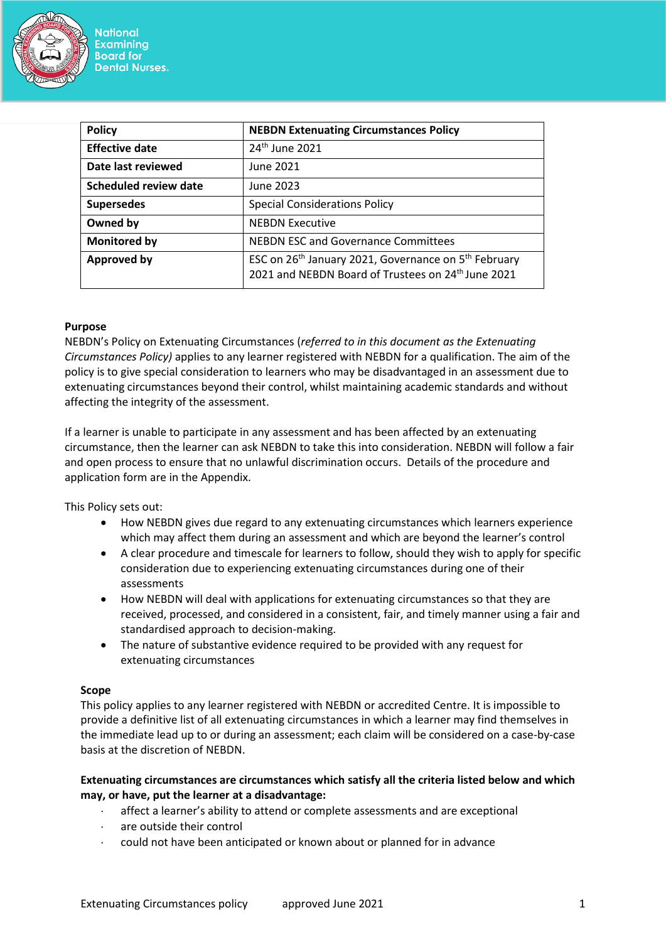

| <b>Policy</b>                | <b>NEBDN Extenuating Circumstances Policy</b>                                                                                                  |
|------------------------------|------------------------------------------------------------------------------------------------------------------------------------------------|
| <b>Effective date</b>        | 24 <sup>th</sup> June 2021                                                                                                                     |
| Date last reviewed           | June 2021                                                                                                                                      |
| <b>Scheduled review date</b> | June 2023                                                                                                                                      |
| <b>Supersedes</b>            | <b>Special Considerations Policy</b>                                                                                                           |
| Owned by                     | <b>NEBDN Executive</b>                                                                                                                         |
| <b>Monitored by</b>          | <b>NEBDN ESC and Governance Committees</b>                                                                                                     |
| <b>Approved by</b>           | ESC on 26 <sup>th</sup> January 2021, Governance on 5 <sup>th</sup> February<br>2021 and NEBDN Board of Trustees on 24 <sup>th</sup> June 2021 |

# **Purpose**

NEBDN's Policy on Extenuating Circumstances (*referred to in this document as the Extenuating Circumstances Policy)* applies to any learner registered with NEBDN for a qualification. The aim of the policy is to give special consideration to learners who may be disadvantaged in an assessment due to extenuating circumstances beyond their control, whilst maintaining academic standards and without affecting the integrity of the assessment.

If a learner is unable to participate in any assessment and has been affected by an extenuating circumstance, then the learner can ask NEBDN to take this into consideration. NEBDN will follow a fair and open process to ensure that no unlawful discrimination occurs. Details of the procedure and application form are in the Appendix.

This Policy sets out:

- How NEBDN gives due regard to any extenuating circumstances which learners experience which may affect them during an assessment and which are beyond the learner's control
- A clear procedure and timescale for learners to follow, should they wish to apply for specific consideration due to experiencing extenuating circumstances during one of their assessments
- How NEBDN will deal with applications for extenuating circumstances so that they are received, processed, and considered in a consistent, fair, and timely manner using a fair and standardised approach to decision-making.
- The nature of substantive evidence required to be provided with any request for extenuating circumstances

# **Scope**

This policy applies to any learner registered with NEBDN or accredited Centre. It is impossible to provide a definitive list of all extenuating circumstances in which a learner may find themselves in the immediate lead up to or during an assessment; each claim will be considered on a case-by-case basis at the discretion of NEBDN.

# **Extenuating circumstances are circumstances which satisfy all the criteria listed below and which may, or have, put the learner at a disadvantage:**

- affect a learner's ability to attend or complete assessments and are exceptional
- are outside their control
- could not have been anticipated or known about or planned for in advance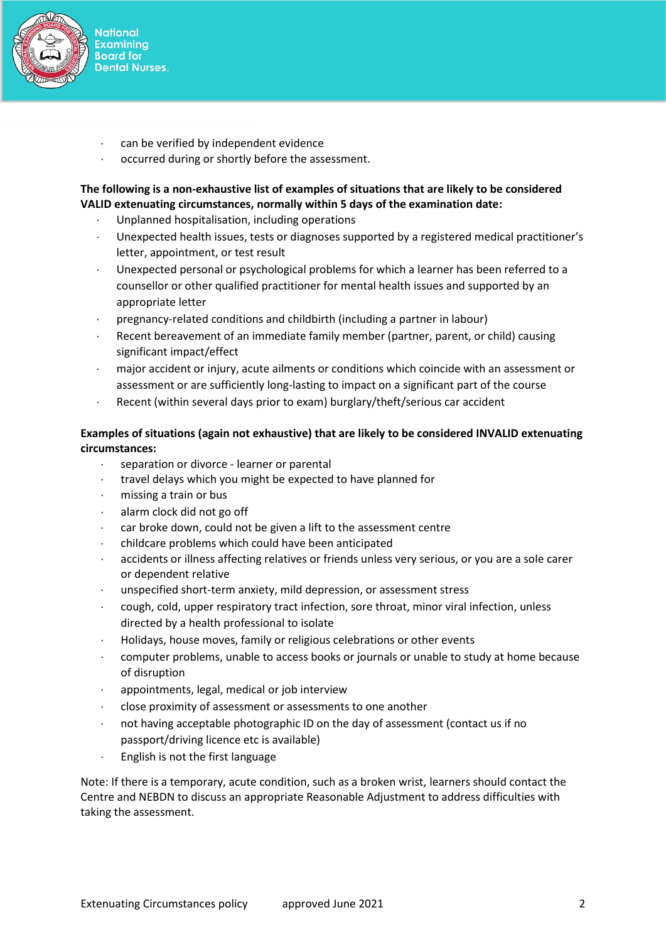

- **National Examining Board for Dental Nurses.** 
	- can be verified by independent evidence
- occurred during or shortly before the assessment.

# **The following is a non-exhaustive list of examples of situations that are likely to be considered VALID extenuating circumstances, normally within 5 days of the examination date:**

- Unplanned hospitalisation, including operations
- Unexpected health issues, tests or diagnoses supported by a registered medical practitioner's letter, appointment, or test result
- Unexpected personal or psychological problems for which a learner has been referred to a counsellor or other qualified practitioner for mental health issues and supported by an appropriate letter
- pregnancy-related conditions and childbirth (including a partner in labour)
- Recent bereavement of an immediate family member (partner, parent, or child) causing significant impact/effect
- major accident or injury, acute ailments or conditions which coincide with an assessment or assessment or are sufficiently long-lasting to impact on a significant part of the course
- Recent (within several days prior to exam) burglary/theft/serious car accident

# **Examples of situations (again not exhaustive) that are likely to be considered INVALID extenuating circumstances:**

- separation or divorce learner or parental
- travel delays which you might be expected to have planned for
- missing a train or bus
- alarm clock did not go off
- car broke down, could not be given a lift to the assessment centre
- childcare problems which could have been anticipated
- accidents or illness affecting relatives or friends unless very serious, or you are a sole carer or dependent relative
- unspecified short-term anxiety, mild depression, or assessment stress
- cough, cold, upper respiratory tract infection, sore throat, minor viral infection, unless directed by a health professional to isolate
- Holidays, house moves, family or religious celebrations or other events
- computer problems, unable to access books or journals or unable to study at home because of disruption
- appointments, legal, medical or job interview
- close proximity of assessment or assessments to one another
- not having acceptable photographic ID on the day of assessment (contact us if no passport/driving licence etc is available)
- English is not the first language

Note: If there is a temporary, acute condition, such as a broken wrist, learners should contact the Centre and NEBDN to discuss an appropriate Reasonable Adjustment to address difficulties with taking the assessment.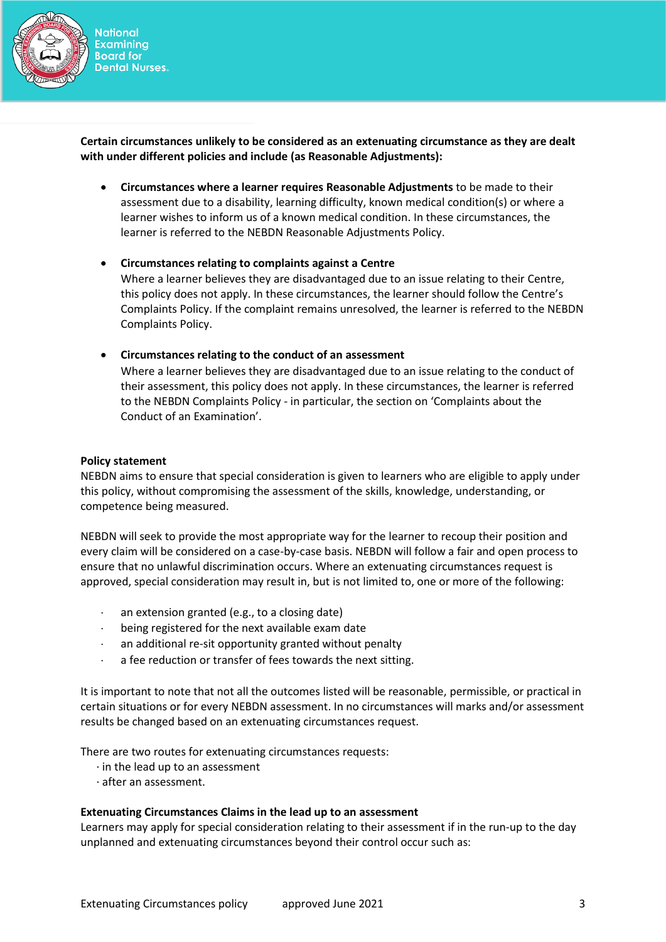

**Certain circumstances unlikely to be considered as an extenuating circumstance as they are dealt with under different policies and include (as Reasonable Adjustments):**

- **Circumstances where a learner requires Reasonable Adjustments** to be made to their assessment due to a disability, learning difficulty, known medical condition(s) or where a learner wishes to inform us of a known medical condition. In these circumstances, the learner is referred to the NEBDN Reasonable Adjustments Policy.
- **Circumstances relating to complaints against a Centre** Where a learner believes they are disadvantaged due to an issue relating to their Centre, this policy does not apply. In these circumstances, the learner should follow the Centre's Complaints Policy. If the complaint remains unresolved, the learner is referred to the NEBDN Complaints Policy.
- **Circumstances relating to the conduct of an assessment** Where a learner believes they are disadvantaged due to an issue relating to the conduct of their assessment, this policy does not apply. In these circumstances, the learner is referred to the NEBDN Complaints Policy - in particular, the section on 'Complaints about the Conduct of an Examination'.

# **Policy statement**

NEBDN aims to ensure that special consideration is given to learners who are eligible to apply under this policy, without compromising the assessment of the skills, knowledge, understanding, or competence being measured.

NEBDN will seek to provide the most appropriate way for the learner to recoup their position and every claim will be considered on a case-by-case basis. NEBDN will follow a fair and open process to ensure that no unlawful discrimination occurs. Where an extenuating circumstances request is approved, special consideration may result in, but is not limited to, one or more of the following:

- an extension granted (e.g., to a closing date)
- being registered for the next available exam date
- an additional re-sit opportunity granted without penalty
- a fee reduction or transfer of fees towards the next sitting.

It is important to note that not all the outcomes listed will be reasonable, permissible, or practical in certain situations or for every NEBDN assessment. In no circumstances will marks and/or assessment results be changed based on an extenuating circumstances request.

There are two routes for extenuating circumstances requests:

- · in the lead up to an assessment
- · after an assessment.

# **Extenuating Circumstances Claims in the lead up to an assessment**

Learners may apply for special consideration relating to their assessment if in the run-up to the day unplanned and extenuating circumstances beyond their control occur such as: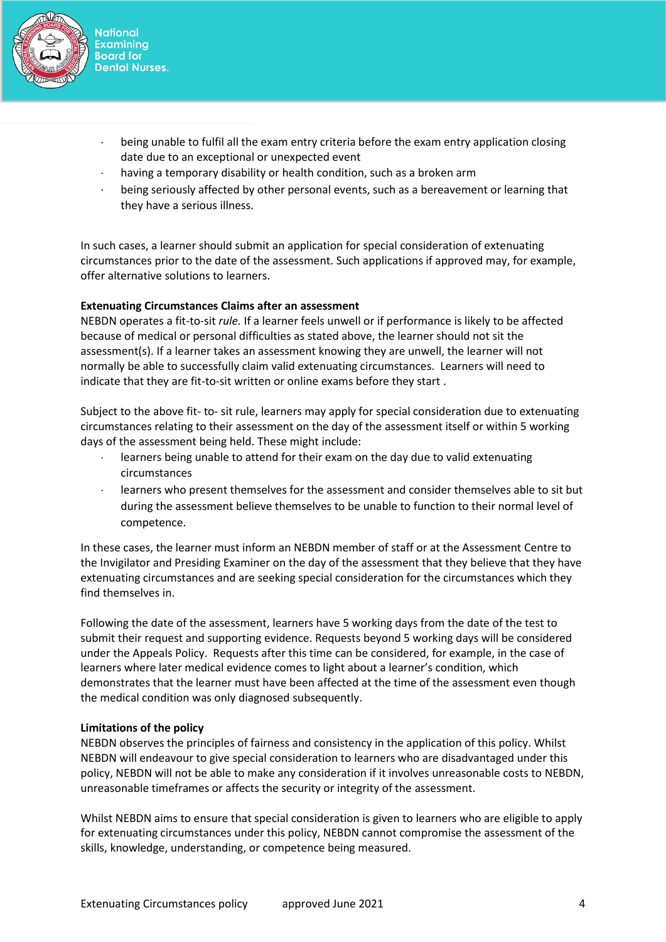

- being unable to fulfil all the exam entry criteria before the exam entry application closing date due to an exceptional or unexpected event
- having a temporary disability or health condition, such as a broken arm
- being seriously affected by other personal events, such as a bereavement or learning that they have a serious illness.

In such cases, a learner should submit an application for special consideration of extenuating circumstances prior to the date of the assessment. Such applications if approved may, for example, offer alternative solutions to learners.

# **Extenuating Circumstances Claims after an assessment**

NEBDN operates a fit-to-sit *rule.* If a learner feels unwell or if performance is likely to be affected because of medical or personal difficulties as stated above, the learner should not sit the assessment(s). If a learner takes an assessment knowing they are unwell, the learner will not normally be able to successfully claim valid extenuating circumstances. Learners will need to indicate that they are fit-to-sit written or online exams before they start .

Subject to the above fit- to- sit rule, learners may apply for special consideration due to extenuating circumstances relating to their assessment on the day of the assessment itself or within 5 working days of the assessment being held. These might include:

- learners being unable to attend for their exam on the day due to valid extenuating circumstances
- learners who present themselves for the assessment and consider themselves able to sit but during the assessment believe themselves to be unable to function to their normal level of competence.

In these cases, the learner must inform an NEBDN member of staff or at the Assessment Centre to the Invigilator and Presiding Examiner on the day of the assessment that they believe that they have extenuating circumstances and are seeking special consideration for the circumstances which they find themselves in.

Following the date of the assessment, learners have 5 working days from the date of the test to submit their request and supporting evidence. Requests beyond 5 working days will be considered under the Appeals Policy. Requests after this time can be considered, for example, in the case of learners where later medical evidence comes to light about a learner's condition, which demonstrates that the learner must have been affected at the time of the assessment even though the medical condition was only diagnosed subsequently.

# **Limitations of the policy**

NEBDN observes the principles of fairness and consistency in the application of this policy. Whilst NEBDN will endeavour to give special consideration to learners who are disadvantaged under this policy, NEBDN will not be able to make any consideration if it involves unreasonable costs to NEBDN, unreasonable timeframes or affects the security or integrity of the assessment.

Whilst NEBDN aims to ensure that special consideration is given to learners who are eligible to apply for extenuating circumstances under this policy, NEBDN cannot compromise the assessment of the skills, knowledge, understanding, or competence being measured.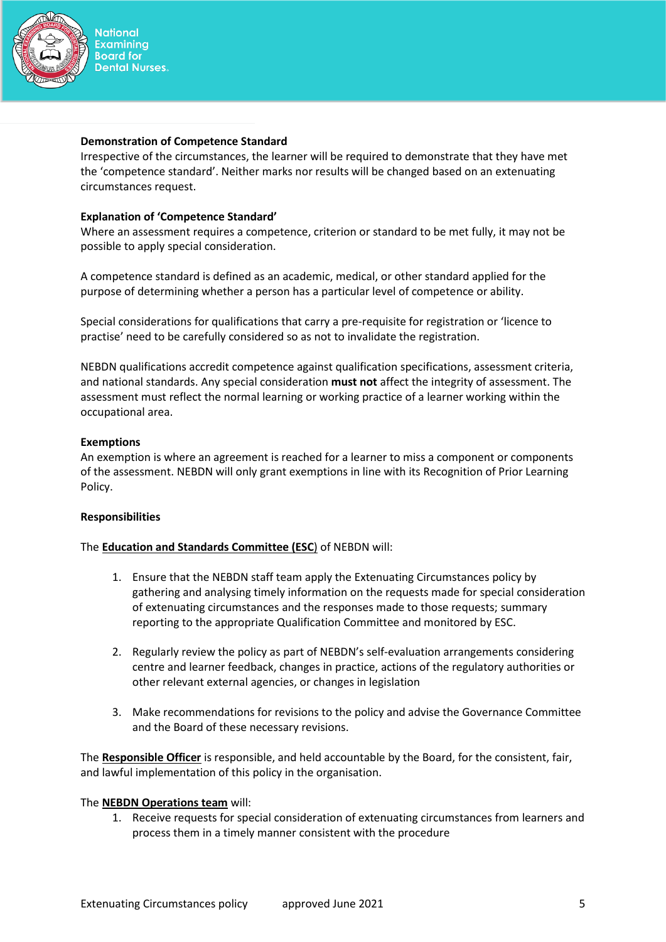

#### **Demonstration of Competence Standard**

Irrespective of the circumstances, the learner will be required to demonstrate that they have met the 'competence standard'. Neither marks nor results will be changed based on an extenuating circumstances request.

# **Explanation of 'Competence Standard'**

Where an assessment requires a competence, criterion or standard to be met fully, it may not be possible to apply special consideration.

A competence standard is defined as an academic, medical, or other standard applied for the purpose of determining whether a person has a particular level of competence or ability.

Special considerations for qualifications that carry a pre-requisite for registration or 'licence to practise' need to be carefully considered so as not to invalidate the registration.

NEBDN qualifications accredit competence against qualification specifications, assessment criteria, and national standards. Any special consideration **must not** affect the integrity of assessment. The assessment must reflect the normal learning or working practice of a learner working within the occupational area.

# **Exemptions**

An exemption is where an agreement is reached for a learner to miss a component or components of the assessment. NEBDN will only grant exemptions in line with its Recognition of Prior Learning Policy.

# **Responsibilities**

# The **Education and Standards Committee (ESC**) of NEBDN will:

- 1. Ensure that the NEBDN staff team apply the Extenuating Circumstances policy by gathering and analysing timely information on the requests made for special consideration of extenuating circumstances and the responses made to those requests; summary reporting to the appropriate Qualification Committee and monitored by ESC.
- 2. Regularly review the policy as part of NEBDN's self-evaluation arrangements considering centre and learner feedback, changes in practice, actions of the regulatory authorities or other relevant external agencies, or changes in legislation
- 3. Make recommendations for revisions to the policy and advise the Governance Committee and the Board of these necessary revisions.

The **Responsible Officer** is responsible, and held accountable by the Board, for the consistent, fair, and lawful implementation of this policy in the organisation.

# The **NEBDN Operations team** will:

1. Receive requests for special consideration of extenuating circumstances from learners and process them in a timely manner consistent with the procedure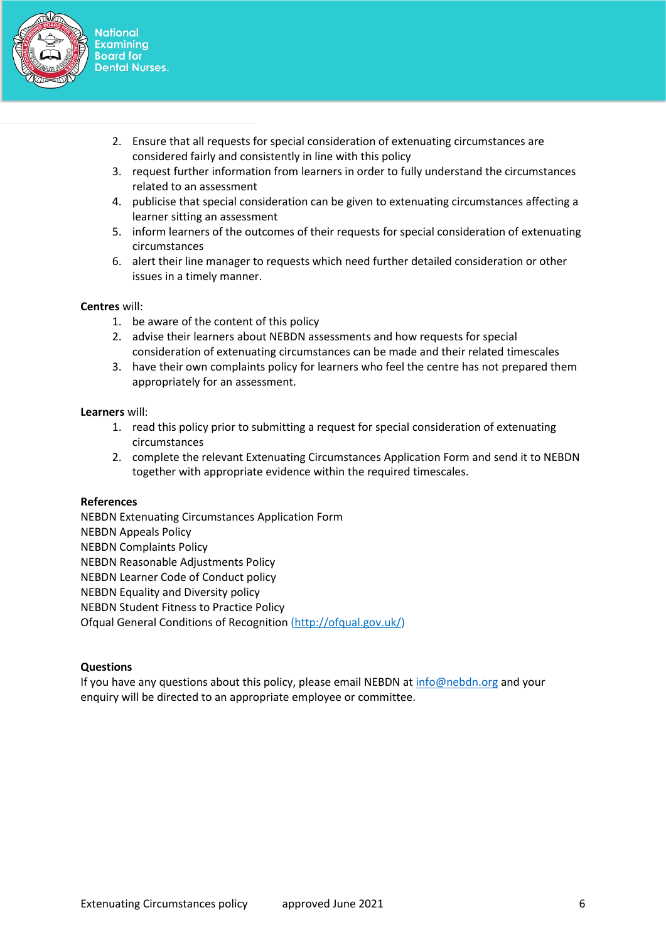

- 2. Ensure that all requests for special consideration of extenuating circumstances are considered fairly and consistently in line with this policy
- 3. request further information from learners in order to fully understand the circumstances related to an assessment
- 4. publicise that special consideration can be given to extenuating circumstances affecting a learner sitting an assessment
- 5. inform learners of the outcomes of their requests for special consideration of extenuating circumstances
- 6. alert their line manager to requests which need further detailed consideration or other issues in a timely manner.

# **Centres** will:

- 1. be aware of the content of this policy
- 2. advise their learners about NEBDN assessments and how requests for special consideration of extenuating circumstances can be made and their related timescales
- 3. have their own complaints policy for learners who feel the centre has not prepared them appropriately for an assessment.

# **Learners** will:

- 1. read this policy prior to submitting a request for special consideration of extenuating circumstances
- 2. complete the relevant Extenuating Circumstances Application Form and send it to NEBDN together with appropriate evidence within the required timescales.

# **References**

NEBDN Extenuating Circumstances Application Form NEBDN Appeals Policy NEBDN Complaints Policy NEBDN Reasonable Adjustments Policy NEBDN Learner Code of Conduct policy NEBDN Equality and Diversity policy NEBDN Student Fitness to Practice Policy Ofqual General Conditions of Recognition [\(http://ofqual.gov.uk/\)](http://ofqual.gov.uk/)

# **Questions**

If you have any questions about this policy, please email NEBDN at [info@nebdn.org](mailto:info@nebdn.org) and your enquiry will be directed to an appropriate employee or committee.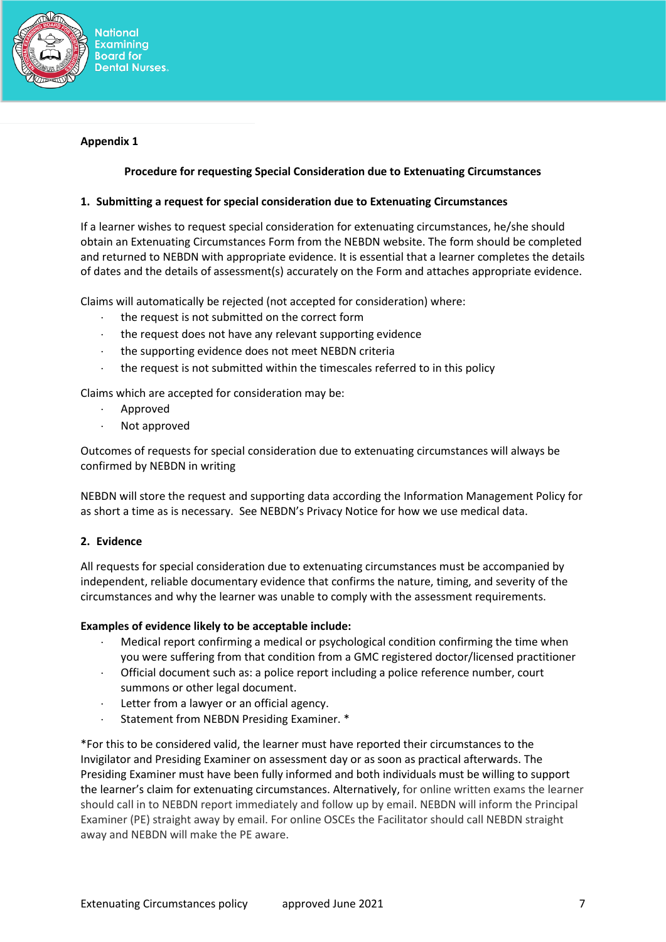

# **Appendix 1**

# **Procedure for requesting Special Consideration due to Extenuating Circumstances**

# **1. Submitting a request for special consideration due to Extenuating Circumstances**

If a learner wishes to request special consideration for extenuating circumstances, he/she should obtain an Extenuating Circumstances Form from the NEBDN website. The form should be completed and returned to NEBDN with appropriate evidence. It is essential that a learner completes the details of dates and the details of assessment(s) accurately on the Form and attaches appropriate evidence.

Claims will automatically be rejected (not accepted for consideration) where:

- the request is not submitted on the correct form
- $\cdot$  the request does not have any relevant supporting evidence
- the supporting evidence does not meet NEBDN criteria
- the request is not submitted within the timescales referred to in this policy

Claims which are accepted for consideration may be:

- Approved
- Not approved

Outcomes of requests for special consideration due to extenuating circumstances will always be confirmed by NEBDN in writing

NEBDN will store the request and supporting data according the Information Management Policy for as short a time as is necessary. See NEBDN's Privacy Notice for how we use medical data.

#### **2. Evidence**

All requests for special consideration due to extenuating circumstances must be accompanied by independent, reliable documentary evidence that confirms the nature, timing, and severity of the circumstances and why the learner was unable to comply with the assessment requirements.

#### **Examples of evidence likely to be acceptable include:**

- Medical report confirming a medical or psychological condition confirming the time when you were suffering from that condition from a GMC registered doctor/licensed practitioner
- Official document such as: a police report including a police reference number, court summons or other legal document.
- Letter from a lawyer or an official agency.
- Statement from NEBDN Presiding Examiner. \*

\*For this to be considered valid, the learner must have reported their circumstances to the Invigilator and Presiding Examiner on assessment day or as soon as practical afterwards. The Presiding Examiner must have been fully informed and both individuals must be willing to support the learner's claim for extenuating circumstances. Alternatively, for online written exams the learner should call in to NEBDN report immediately and follow up by email. NEBDN will inform the Principal Examiner (PE) straight away by email. For online OSCEs the Facilitator should call NEBDN straight away and NEBDN will make the PE aware.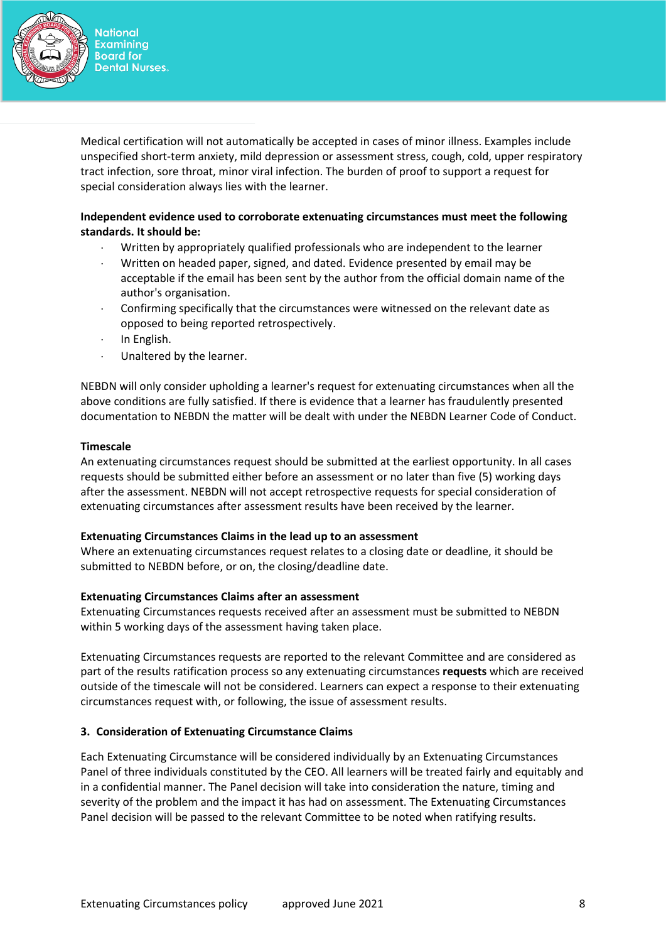

Medical certification will not automatically be accepted in cases of minor illness. Examples include unspecified short-term anxiety, mild depression or assessment stress, cough, cold, upper respiratory tract infection, sore throat, minor viral infection. The burden of proof to support a request for special consideration always lies with the learner.

# **Independent evidence used to corroborate extenuating circumstances must meet the following standards. It should be:**

- Written by appropriately qualified professionals who are independent to the learner
- Written on headed paper, signed, and dated. Evidence presented by email may be acceptable if the email has been sent by the author from the official domain name of the author's organisation.
- Confirming specifically that the circumstances were witnessed on the relevant date as opposed to being reported retrospectively.
- $\cdot$  In English.
- Unaltered by the learner.

NEBDN will only consider upholding a learner's request for extenuating circumstances when all the above conditions are fully satisfied. If there is evidence that a learner has fraudulently presented documentation to NEBDN the matter will be dealt with under the NEBDN Learner Code of Conduct.

# **Timescale**

An extenuating circumstances request should be submitted at the earliest opportunity. In all cases requests should be submitted either before an assessment or no later than five (5) working days after the assessment. NEBDN will not accept retrospective requests for special consideration of extenuating circumstances after assessment results have been received by the learner.

# **Extenuating Circumstances Claims in the lead up to an assessment**

Where an extenuating circumstances request relates to a closing date or deadline, it should be submitted to NEBDN before, or on, the closing/deadline date.

# **Extenuating Circumstances Claims after an assessment**

Extenuating Circumstances requests received after an assessment must be submitted to NEBDN within 5 working days of the assessment having taken place.

Extenuating Circumstances requests are reported to the relevant Committee and are considered as part of the results ratification process so any extenuating circumstances **requests** which are received outside of the timescale will not be considered. Learners can expect a response to their extenuating circumstances request with, or following, the issue of assessment results.

# **3. Consideration of Extenuating Circumstance Claims**

Each Extenuating Circumstance will be considered individually by an Extenuating Circumstances Panel of three individuals constituted by the CEO. All learners will be treated fairly and equitably and in a confidential manner. The Panel decision will take into consideration the nature, timing and severity of the problem and the impact it has had on assessment. The Extenuating Circumstances Panel decision will be passed to the relevant Committee to be noted when ratifying results.